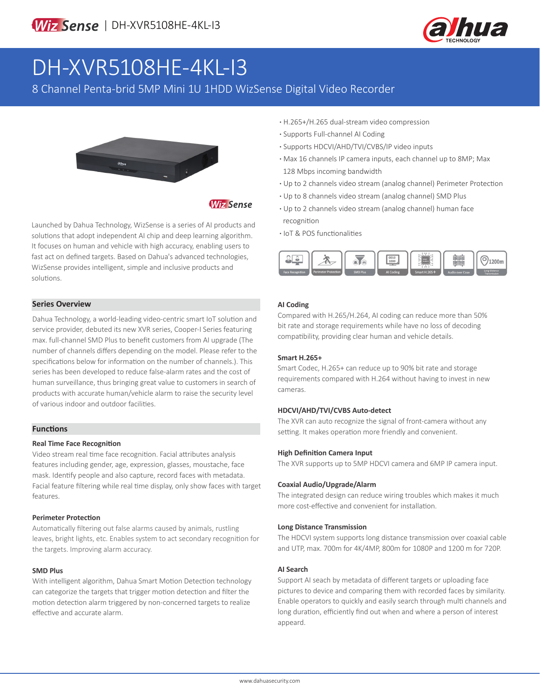

# DH-XVR5108HE-4KL-I3

8 Channel Penta-brid 5MP Mini 1U 1HDD WizSense Digital Video Recorder



# **Wiz Sense**

Launched by Dahua Technology, WizSense is a series of AI products and solutions that adopt independent AI chip and deep learning algorithm. It focuses on human and vehicle with high accuracy, enabling users to fast act on defined targets. Based on Dahua's advanced technologies, WizSense provides intelligent, simple and inclusive products and solutions.

#### **Series Overview**

Dahua Technology, a world-leading video-centric smart IoT solution and service provider, debuted its new XVR series, Cooper-I Series featuring max. full-channel SMD Plus to benefit customers from AI upgrade (The number of channels differs depending on the model. Please refer to the specifications below for information on the number of channels.). This series has been developed to reduce false-alarm rates and the cost of human surveillance, thus bringing great value to customers in search of products with accurate human/vehicle alarm to raise the security level of various indoor and outdoor facilities.

#### **Functions**

#### **Real Time Face Recognition**

Video stream real time face recognition. Facial attributes analysis features including gender, age, expression, glasses, moustache, face mask. Identify people and also capture, record faces with metadata. Facial feature filtering while real time display, only show faces with target features.

#### **Perimeter Protection**

Automatically filtering out false alarms caused by animals, rustling leaves, bright lights, etc. Enables system to act secondary recognition for the targets. Improving alarm accuracy.

#### **SMD Plus**

With intelligent algorithm, Dahua Smart Motion Detection technology can categorize the targets that trigger motion detection and filter the motion detection alarm triggered by non-concerned targets to realize effective and accurate alarm.

- **·** H.265+/H.265 dual-stream video compression
- **·** Supports Full-channel AI Coding
- **·** Supports HDCVI/AHD/TVI/CVBS/IP video inputs
- **·** Max 16 channels IP camera inputs, each channel up to 8MP; Max 128 Mbps incoming bandwidth
- **·** Up to 2 channels video stream (analog channel) Perimeter Protection
- **·** Up to 8 channels video stream (analog channel) SMD Plus
- **·** Up to 2 channels video stream (analog channel) human face recognition
- **·** IoT & POS functionalities



#### **AI Coding**

Compared with H.265/H.264, AI coding can reduce more than 50% bit rate and storage requirements while have no loss of decoding compatibility, providing clear human and vehicle details.

#### **Smart H.265+**

Smart Codec, H.265+ can reduce up to 90% bit rate and storage requirements compared with H.264 without having to invest in new cameras.

#### **HDCVI/AHD/TVI/CVBS Auto-detect**

The XVR can auto recognize the signal of front-camera without any setting. It makes operation more friendly and convenient.

#### **High Definition Camera Input**

The XVR supports up to 5MP HDCVI camera and 6MP IP camera input.

#### **Coaxial Audio/Upgrade/Alarm**

The integrated design can reduce wiring troubles which makes it much more cost-effective and convenient for installation.

#### **Long Distance Transmission**

The HDCVI system supports long distance transmission over coaxial cable and UTP, max. 700m for 4K/4MP, 800m for 1080P and 1200 m for 720P.

#### **AI Search**

Support AI seach by metadata of different targets or uploading face pictures to device and comparing them with recorded faces by similarity. Enable operators to quickly and easily search through multi channels and long duration, efficiently find out when and where a person of interest appeard.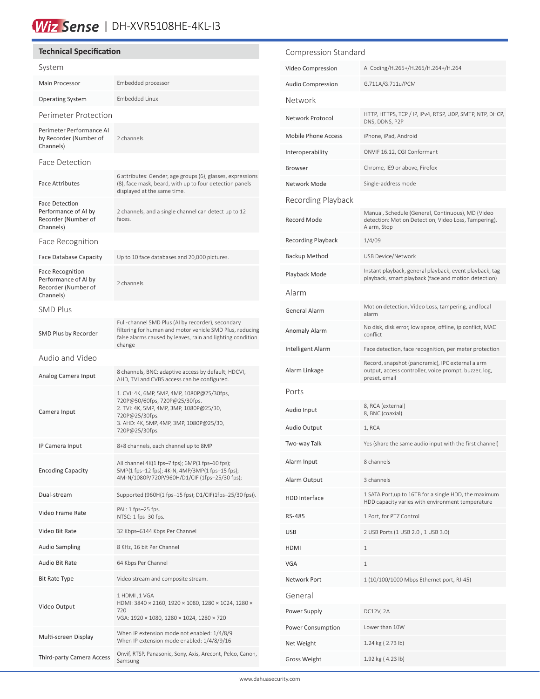# Wiz Sense | DH-XVR5108HE-4KL-13

### **Technical Specification**

| System                                                                              |                                                                                                                                                                                                       |
|-------------------------------------------------------------------------------------|-------------------------------------------------------------------------------------------------------------------------------------------------------------------------------------------------------|
| Main Processor                                                                      | Embedded processor                                                                                                                                                                                    |
| <b>Operating System</b>                                                             | Embedded Linux                                                                                                                                                                                        |
| Perimeter Protection                                                                |                                                                                                                                                                                                       |
| Perimeter Performance AI<br>by Recorder (Number of<br>Channels)                     | 2 channels                                                                                                                                                                                            |
| Face Detection                                                                      |                                                                                                                                                                                                       |
| <b>Face Attributes</b>                                                              | 6 attributes: Gender, age groups (6), glasses, expressions<br>(8), face mask, beard, with up to four detection panels<br>displayed at the same time.                                                  |
| Face Detection<br>Performance of AI by<br>Recorder (Number of<br>Channels)          | 2 channels, and a single channel can detect up to 12<br>faces.                                                                                                                                        |
| Face Recognition                                                                    |                                                                                                                                                                                                       |
| <b>Face Database Capacity</b>                                                       | Up to 10 face databases and 20,000 pictures.                                                                                                                                                          |
| <b>Face Recognition</b><br>Performance of AI by<br>Recorder (Number of<br>Channels) | 2 channels                                                                                                                                                                                            |
| <b>SMD Plus</b>                                                                     |                                                                                                                                                                                                       |
| SMD Plus by Recorder                                                                | Full-channel SMD Plus (AI by recorder), secondary<br>filtering for human and motor vehicle SMD Plus, reducing<br>false alarms caused by leaves, rain and lighting condition<br>change                 |
| Audio and Video                                                                     |                                                                                                                                                                                                       |
| Analog Camera Input                                                                 | 8 channels, BNC: adaptive access by default; HDCVI,<br>AHD, TVI and CVBS access can be configured.                                                                                                    |
| Camera Input                                                                        | 1. CVI: 4K, 6MP, 5MP, 4MP, 1080P@25/30fps,<br>720P@50/60fps, 720P@25/30fps.<br>2. TVI: 4K, 5MP, 4MP, 3MP, 1080P@25/30,<br>720P@25/30fps.<br>3. АНD: 4К, 5МР, 4МР, 3МР, 1080Р@25/30,<br>720P@25/30fps. |
| IP Camera Input                                                                     | 8+8 channels, each channel up to 8MP                                                                                                                                                                  |
| <b>Encoding Capacity</b>                                                            | All channel 4K(1 fps-7 fps); 6MP(1 fps-10 fps);<br>5MP(1 fps-12 fps); 4K-N, 4MP/3MP(1 fps-15 fps);<br>4M-N/1080P/720P/960H/D1/CIF (1fps-25/30 fps);                                                   |
| Dual-stream                                                                         | Supported (960H(1 fps-15 fps); D1/CIF(1fps-25/30 fps)).                                                                                                                                               |
| Video Frame Rate                                                                    | PAL: 1 fps-25 fps.<br>NTSC: 1 fps-30 fps.                                                                                                                                                             |
| Video Bit Rate                                                                      | 32 Kbps-6144 Kbps Per Channel                                                                                                                                                                         |
| <b>Audio Sampling</b>                                                               | 8 KHz, 16 bit Per Channel                                                                                                                                                                             |
| Audio Bit Rate                                                                      | 64 Kbps Per Channel                                                                                                                                                                                   |
| Bit Rate Type                                                                       | Video stream and composite stream.                                                                                                                                                                    |
| Video Output                                                                        | 1 HDMI, 1 VGA<br>HDMI: 3840 × 2160, 1920 × 1080, 1280 × 1024, 1280 ×<br>720<br>VGA: 1920 × 1080, 1280 × 1024, 1280 × 720                                                                              |
| Multi-screen Display                                                                | When IP extension mode not enabled: 1/4/8/9<br>When IP extension mode enabled: 1/4/8/9/16                                                                                                             |
| Third-party Camera Access                                                           | Onvif, RTSP, Panasonic, Sony, Axis, Arecont, Pelco, Canon,<br>Samsung                                                                                                                                 |

| Compression Standard       |                                                                                                                            |  |  |  |
|----------------------------|----------------------------------------------------------------------------------------------------------------------------|--|--|--|
| Video Compression          | AI Coding/H.265+/H.265/H.264+/H.264                                                                                        |  |  |  |
| <b>Audio Compression</b>   | G.711A/G.711u/PCM                                                                                                          |  |  |  |
| Network                    |                                                                                                                            |  |  |  |
| Network Protocol           | HTTP, HTTPS, TCP / IP, IPv4, RTSP, UDP, SMTP, NTP, DHCP,<br>DNS, DDNS, P2P                                                 |  |  |  |
| <b>Mobile Phone Access</b> | iPhone, iPad, Android                                                                                                      |  |  |  |
| Interoperability           | ONVIF 16.12, CGI Conformant                                                                                                |  |  |  |
| Browser                    | Chrome, IE9 or above, Firefox                                                                                              |  |  |  |
| Network Mode               | Single-address mode                                                                                                        |  |  |  |
| Recording Playback         |                                                                                                                            |  |  |  |
| <b>Record Mode</b>         | Manual, Schedule (General, Continuous), MD (Video<br>detection: Motion Detection, Video Loss, Tampering),<br>Alarm, Stop   |  |  |  |
| <b>Recording Playback</b>  | 1/4/09                                                                                                                     |  |  |  |
| Backup Method              | USB Device/Network                                                                                                         |  |  |  |
| Playback Mode              | Instant playback, general playback, event playback, tag<br>playback, smart playback (face and motion detection)            |  |  |  |
| Alarm                      |                                                                                                                            |  |  |  |
| <b>General Alarm</b>       | Motion detection, Video Loss, tampering, and local<br>alarm                                                                |  |  |  |
| <b>Anomaly Alarm</b>       | No disk, disk error, low space, offline, ip conflict, MAC<br>conflict                                                      |  |  |  |
| Intelligent Alarm          | Face detection, face recognition, perimeter protection                                                                     |  |  |  |
| Alarm Linkage              | Record, snapshot (panoramic), IPC external alarm<br>output, access controller, voice prompt, buzzer, log,<br>preset, email |  |  |  |
| Ports                      |                                                                                                                            |  |  |  |
| Audio Input                | 8, RCA (external)<br>8, BNC (coaxial)                                                                                      |  |  |  |
| Audio Output               | 1, RCA                                                                                                                     |  |  |  |
| Two-way Talk               | Yes (share the same audio input with the first channel)                                                                    |  |  |  |
| Alarm Input                | 8 channels                                                                                                                 |  |  |  |
| Alarm Output               | 3 channels                                                                                                                 |  |  |  |
| <b>HDD</b> Interface       | 1 SATA Port, up to 16TB for a single HDD, the maximum<br>HDD capacity varies with environment temperature                  |  |  |  |
| RS-485                     | 1 Port, for PTZ Control                                                                                                    |  |  |  |
| USB                        | 2 USB Ports (1 USB 2.0, 1 USB 3.0)                                                                                         |  |  |  |
| HDMI                       | 1                                                                                                                          |  |  |  |
| <b>VGA</b>                 | 1                                                                                                                          |  |  |  |
| Network Port               | 1 (10/100/1000 Mbps Ethernet port, RJ-45)                                                                                  |  |  |  |
| General                    |                                                                                                                            |  |  |  |
| Power Supply               | DC12V, 2A                                                                                                                  |  |  |  |
| Power Consumption          | Lower than 10W                                                                                                             |  |  |  |
| Net Weight                 | 1.24 kg (2.73 lb)                                                                                                          |  |  |  |
| Gross Weight               | 1.92 kg (4.23 lb)                                                                                                          |  |  |  |